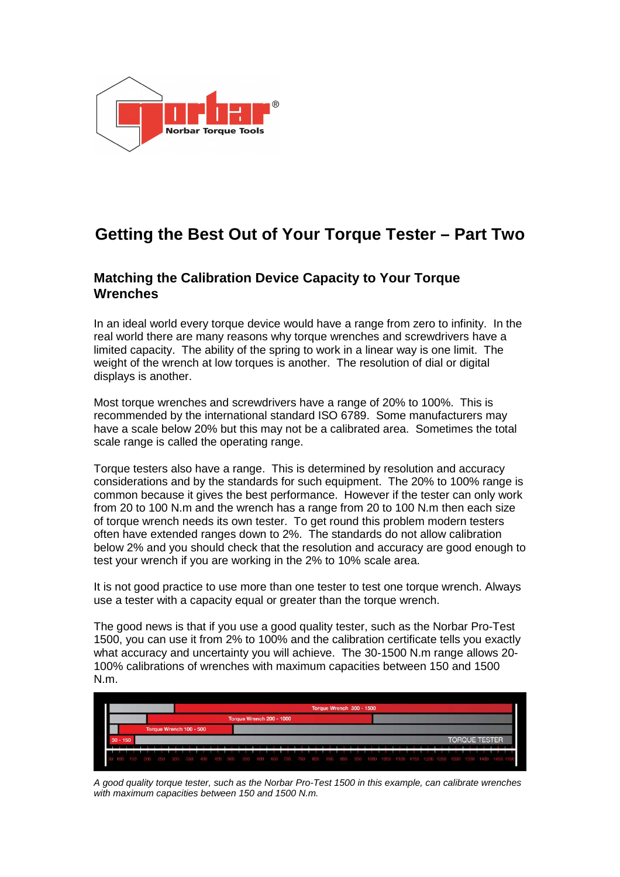

# **Getting the Best Out of Your Torque Tester – Part Two**

### **Matching the Calibration Device Capacity to Your Torque Wrenches**

In an ideal world every torque device would have a range from zero to infinity. In the real world there are many reasons why torque wrenches and screwdrivers have a limited capacity. The ability of the spring to work in a linear way is one limit. The weight of the wrench at low torques is another. The resolution of dial or digital displays is another.

Most torque wrenches and screwdrivers have a range of 20% to 100%. This is recommended by the international standard ISO 6789. Some manufacturers may have a scale below 20% but this may not be a calibrated area. Sometimes the total scale range is called the operating range.

Torque testers also have a range. This is determined by resolution and accuracy considerations and by the standards for such equipment. The 20% to 100% range is common because it gives the best performance. However if the tester can only work from 20 to 100 N.m and the wrench has a range from 20 to 100 N.m then each size of torque wrench needs its own tester. To get round this problem modern testers often have extended ranges down to 2%. The standards do not allow calibration below 2% and you should check that the resolution and accuracy are good enough to test your wrench if you are working in the 2% to 10% scale area.

It is not good practice to use more than one tester to test one torque wrench. Always use a tester with a capacity equal or greater than the torque wrench.

The good news is that if you use a good quality tester, such as the Norbar Pro-Test 1500, you can use it from 2% to 100% and the calibration certificate tells you exactly what accuracy and uncertainty you will achieve. The 30-1500 N.m range allows 20- 100% calibrations of wrenches with maximum capacities between 150 and 1500 N.m.



A good quality torque tester, such as the Norbar Pro-Test 1500 in this example, can calibrate wrenches with maximum capacities between 150 and 1500 N.m.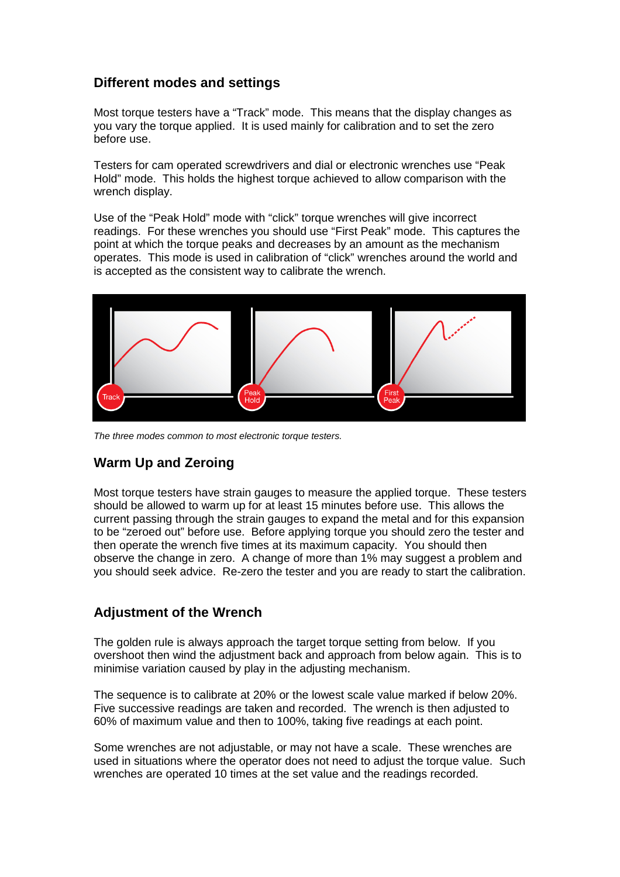## **Different modes and settings**

Most torque testers have a "Track" mode. This means that the display changes as you vary the torque applied. It is used mainly for calibration and to set the zero before use.

Testers for cam operated screwdrivers and dial or electronic wrenches use "Peak Hold" mode. This holds the highest torque achieved to allow comparison with the wrench display.

Use of the "Peak Hold" mode with "click" torque wrenches will give incorrect readings. For these wrenches you should use "First Peak" mode. This captures the point at which the torque peaks and decreases by an amount as the mechanism operates. This mode is used in calibration of "click" wrenches around the world and is accepted as the consistent way to calibrate the wrench.



The three modes common to most electronic torque testers.

# **Warm Up and Zeroing**

Most torque testers have strain gauges to measure the applied torque. These testers should be allowed to warm up for at least 15 minutes before use. This allows the current passing through the strain gauges to expand the metal and for this expansion to be "zeroed out" before use. Before applying torque you should zero the tester and then operate the wrench five times at its maximum capacity. You should then observe the change in zero. A change of more than 1% may suggest a problem and you should seek advice. Re-zero the tester and you are ready to start the calibration.

#### **Adjustment of the Wrench**

The golden rule is always approach the target torque setting from below. If you overshoot then wind the adjustment back and approach from below again. This is to minimise variation caused by play in the adjusting mechanism.

The sequence is to calibrate at 20% or the lowest scale value marked if below 20%. Five successive readings are taken and recorded. The wrench is then adjusted to 60% of maximum value and then to 100%, taking five readings at each point.

Some wrenches are not adjustable, or may not have a scale. These wrenches are used in situations where the operator does not need to adjust the torque value. Such wrenches are operated 10 times at the set value and the readings recorded.